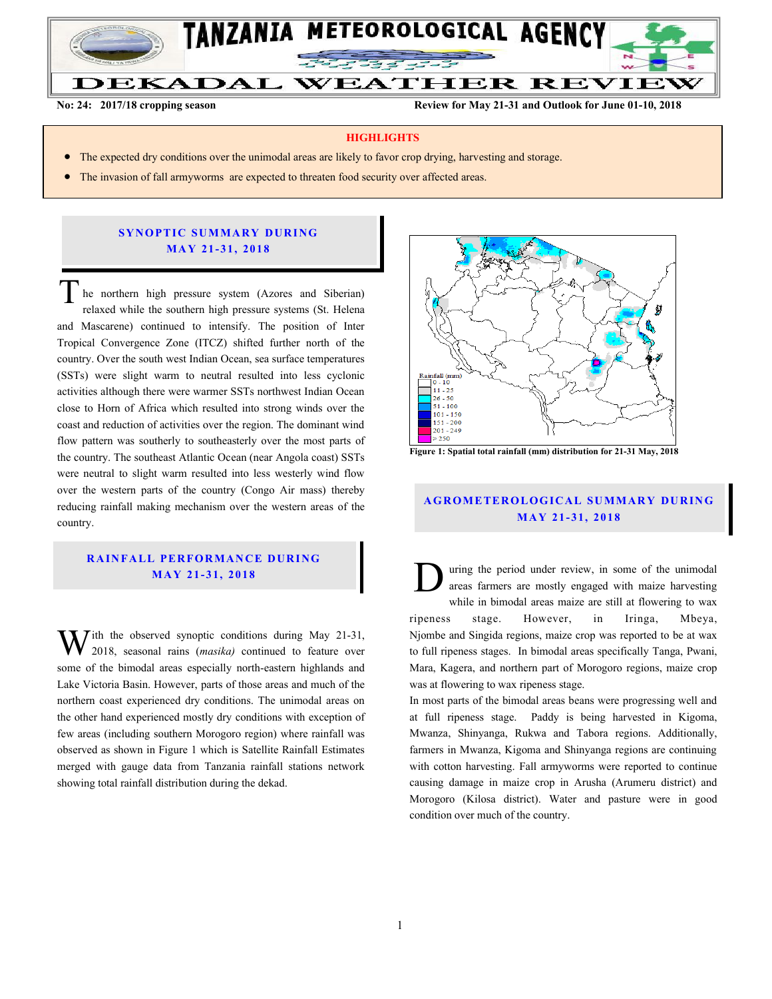

**No: 24: 2017/18 cropping season Review for May 21-31 and Outlook for June 01-10, 2018**

#### **HIGHLIGHTS**

- The expected dry conditions over the unimodal areas are likely to favor crop drying, harvesting and storage.
- The invasion of fall armyworms are expected to threaten food security over affected areas.

### **SYNOPTIC SUMMARY DURING MA Y 21- 31, 201 8**

he northern high pressure system (Azores and Siberian) relaxed while the southern high pressure systems (St. Helena and Mascarene) continued to intensify. The position of Inter Tropical Convergence Zone (ITCZ) shifted further north of the country. Over the south west Indian Ocean, sea surface temperatures (SSTs) were slight warm to neutral resulted into less cyclonic activities although there were warmer SSTs northwest Indian Ocean close to Horn of Africa which resulted into strong winds over the coast and reduction of activities over the region. The dominant wind flow pattern was southerly to southeasterly over the most parts of the country. The southeast Atlantic Ocean (near Angola coast) SSTs were neutral to slight warm resulted into less westerly wind flow over the western parts of the country (Congo Air mass) thereby reducing rainfall making mechanism over the western areas of the country.  $\overline{T}$ 

## **RAINFALL PERFORMANCE DURING MA Y 21 - 31, 201 8**

 $\mathbf{W}$ <sup>ith</sup> the observed synoptic conditions during May 21-31, 2018, seasonal rains (*masika*) continued to feature over 2018, seasonal rains (*masika)* continued to feature over some of the bimodal areas especially north-eastern highlands and Lake Victoria Basin. However, parts of those areas and much of the northern coast experienced dry conditions. The unimodal areas on the other hand experienced mostly dry conditions with exception of few areas (including southern Morogoro region) where rainfall was observed as shown in Figure 1 which is Satellite Rainfall Estimates merged with gauge data from Tanzania rainfall stations network showing total rainfall distribution during the dekad.



**Figure 1: Spatial total rainfall (mm) distribution for 21-31 May, 2018**

# **A G RO METER O LO G IC AL SU MMAR Y DU R IN G MA Y 21 - 31, 201 8**

uring the period under review, in some of the unimodal areas farmers are mostly engaged with maize harvesting while in bimodal areas maize are still at flowering to wax ripeness stage. However, in Iringa, Mbeya, Njombe and Singida regions, maize crop was reported to be at wax to full ripeness stages. In bimodal areas specifically Tanga, Pwani, Mara, Kagera, and northern part of Morogoro regions, maize crop was at flowering to wax ripeness stage. D

In most parts of the bimodal areas beans were progressing well and at full ripeness stage. Paddy is being harvested in Kigoma, Mwanza, Shinyanga, Rukwa and Tabora regions. Additionally, farmers in Mwanza, Kigoma and Shinyanga regions are continuing with cotton harvesting. Fall armyworms were reported to continue causing damage in maize crop in Arusha (Arumeru district) and Morogoro (Kilosa district). Water and pasture were in good condition over much of the country.